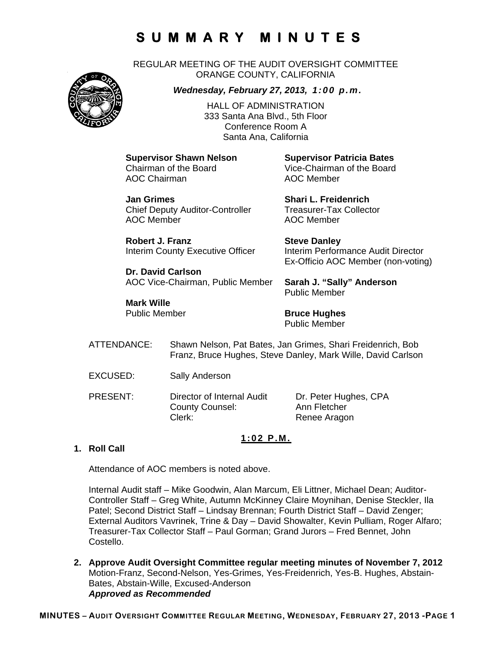REGULAR MEETING OF THE AUDIT OVERSIGHT COMMITTEE ORANGE COUNTY, CALIFORNIA



*Wednesday, February 27, 2013, 1:00 p.m.*

HALL OF ADMINISTRATION 333 Santa Ana Blvd., 5th Floor Conference Room A Santa Ana, California

AOC Chairman AOC Member

**Supervisor Shawn Nelson Supervisor Patricia Bates**<br>
Chairman of the Board **Chairman of the Board** Vice-Chairman of the Board

**Jan Grimes Shari L. Freidenrich**  Chief Deputy Auditor-Controller Treasurer-Tax Collector AOC Member AOC Member

**Robert J. Franz Steve Danley** Interim County Executive Officer Interim Performance Audit Director

**Dr. David Carlson**  AOC Vice-Chairman, Public Member **Sarah J. "Sally" Anderson** 

**Mark Wille**  Public Member **Bruce Hughes** 

Public Member

Ex-Officio AOC Member (non-voting)

Public Member

- ATTENDANCE: Shawn Nelson, Pat Bates, Jan Grimes, Shari Freidenrich, Bob Franz, Bruce Hughes, Steve Danley, Mark Wille, David Carlson
- EXCUSED: Sally Anderson
- PRESENT: Director of Internal Audit Dr. Peter Hughes, CPA County Counsel: Ann Fletcher Clerk: Renee Aragon

### **1:02 P.M.**

### **1. Roll Call**

Attendance of AOC members is noted above.

Internal Audit staff – Mike Goodwin, Alan Marcum, Eli Littner, Michael Dean; Auditor-Controller Staff – Greg White, Autumn McKinney Claire Moynihan, Denise Steckler, Ila Patel; Second District Staff – Lindsay Brennan; Fourth District Staff – David Zenger; External Auditors Vavrinek, Trine & Day – David Showalter, Kevin Pulliam, Roger Alfaro; Treasurer-Tax Collector Staff – Paul Gorman; Grand Jurors – Fred Bennet, John Costello.

**2. Approve Audit Oversight Committee regular meeting minutes of November 7, 2012**  Motion-Franz, Second-Nelson, Yes-Grimes, Yes-Freidenrich, Yes-B. Hughes, Abstain-Bates, Abstain-Wille, Excused-Anderson *Approved as Recommended*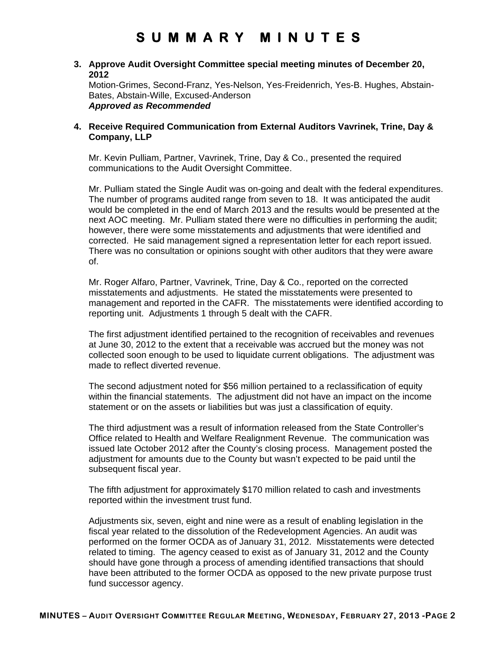### **3. Approve Audit Oversight Committee special meeting minutes of December 20, 2012**

Motion-Grimes, Second-Franz, Yes-Nelson, Yes-Freidenrich, Yes-B. Hughes, Abstain-Bates, Abstain-Wille, Excused-Anderson *Approved as Recommended* 

### **4. Receive Required Communication from External Auditors Vavrinek, Trine, Day & Company, LLP**

Mr. Kevin Pulliam, Partner, Vavrinek, Trine, Day & Co., presented the required communications to the Audit Oversight Committee.

Mr. Pulliam stated the Single Audit was on-going and dealt with the federal expenditures. The number of programs audited range from seven to 18. It was anticipated the audit would be completed in the end of March 2013 and the results would be presented at the next AOC meeting. Mr. Pulliam stated there were no difficulties in performing the audit; however, there were some misstatements and adjustments that were identified and corrected. He said management signed a representation letter for each report issued. There was no consultation or opinions sought with other auditors that they were aware of.

Mr. Roger Alfaro, Partner, Vavrinek, Trine, Day & Co., reported on the corrected misstatements and adjustments. He stated the misstatements were presented to management and reported in the CAFR. The misstatements were identified according to reporting unit. Adjustments 1 through 5 dealt with the CAFR.

The first adjustment identified pertained to the recognition of receivables and revenues at June 30, 2012 to the extent that a receivable was accrued but the money was not collected soon enough to be used to liquidate current obligations. The adjustment was made to reflect diverted revenue.

The second adjustment noted for \$56 million pertained to a reclassification of equity within the financial statements. The adjustment did not have an impact on the income statement or on the assets or liabilities but was just a classification of equity.

The third adjustment was a result of information released from the State Controller's Office related to Health and Welfare Realignment Revenue. The communication was issued late October 2012 after the County's closing process. Management posted the adjustment for amounts due to the County but wasn't expected to be paid until the subsequent fiscal year.

The fifth adjustment for approximately \$170 million related to cash and investments reported within the investment trust fund.

Adjustments six, seven, eight and nine were as a result of enabling legislation in the fiscal year related to the dissolution of the Redevelopment Agencies. An audit was performed on the former OCDA as of January 31, 2012. Misstatements were detected related to timing. The agency ceased to exist as of January 31, 2012 and the County should have gone through a process of amending identified transactions that should have been attributed to the former OCDA as opposed to the new private purpose trust fund successor agency.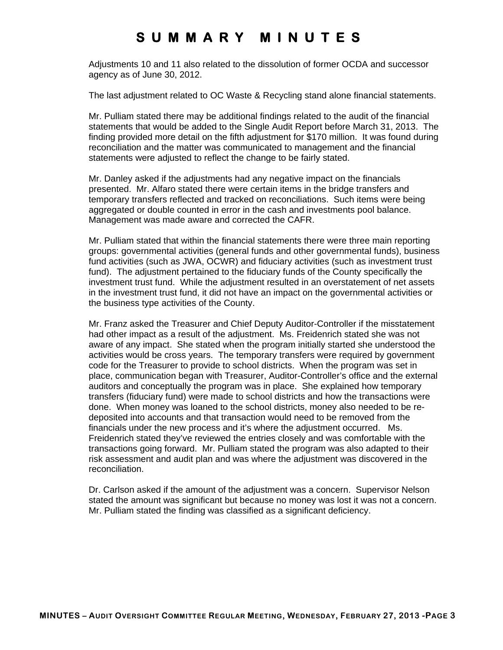Adjustments 10 and 11 also related to the dissolution of former OCDA and successor agency as of June 30, 2012.

The last adjustment related to OC Waste & Recycling stand alone financial statements.

Mr. Pulliam stated there may be additional findings related to the audit of the financial statements that would be added to the Single Audit Report before March 31, 2013. The finding provided more detail on the fifth adjustment for \$170 million. It was found during reconciliation and the matter was communicated to management and the financial statements were adjusted to reflect the change to be fairly stated.

Mr. Danley asked if the adjustments had any negative impact on the financials presented. Mr. Alfaro stated there were certain items in the bridge transfers and temporary transfers reflected and tracked on reconciliations. Such items were being aggregated or double counted in error in the cash and investments pool balance. Management was made aware and corrected the CAFR.

Mr. Pulliam stated that within the financial statements there were three main reporting groups: governmental activities (general funds and other governmental funds), business fund activities (such as JWA, OCWR) and fiduciary activities (such as investment trust fund). The adjustment pertained to the fiduciary funds of the County specifically the investment trust fund. While the adjustment resulted in an overstatement of net assets in the investment trust fund, it did not have an impact on the governmental activities or the business type activities of the County.

Mr. Franz asked the Treasurer and Chief Deputy Auditor-Controller if the misstatement had other impact as a result of the adjustment. Ms. Freidenrich stated she was not aware of any impact. She stated when the program initially started she understood the activities would be cross years. The temporary transfers were required by government code for the Treasurer to provide to school districts. When the program was set in place, communication began with Treasurer, Auditor-Controller's office and the external auditors and conceptually the program was in place. She explained how temporary transfers (fiduciary fund) were made to school districts and how the transactions were done. When money was loaned to the school districts, money also needed to be redeposited into accounts and that transaction would need to be removed from the financials under the new process and it's where the adjustment occurred. Ms. Freidenrich stated they've reviewed the entries closely and was comfortable with the transactions going forward. Mr. Pulliam stated the program was also adapted to their risk assessment and audit plan and was where the adjustment was discovered in the reconciliation.

Dr. Carlson asked if the amount of the adjustment was a concern. Supervisor Nelson stated the amount was significant but because no money was lost it was not a concern. Mr. Pulliam stated the finding was classified as a significant deficiency.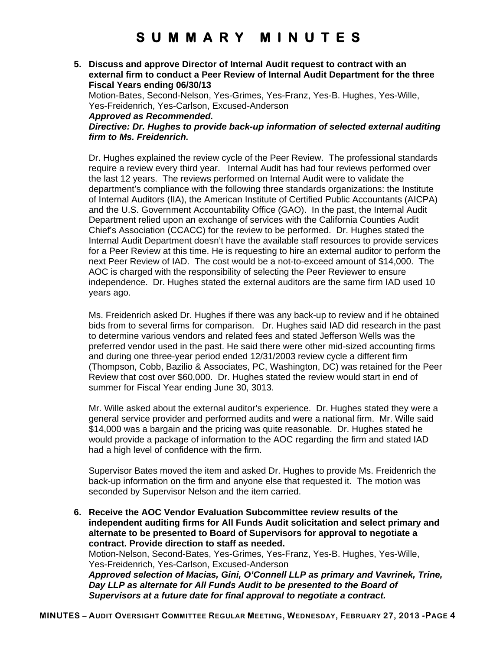**5. Discuss and approve Director of Internal Audit request to contract with an external firm to conduct a Peer Review of Internal Audit Department for the three Fiscal Years ending 06/30/13** 

Motion-Bates, Second-Nelson, Yes-Grimes, Yes-Franz, Yes-B. Hughes, Yes-Wille, Yes-Freidenrich, Yes-Carlson, Excused-Anderson

*Approved as Recommended.* 

*Directive: Dr. Hughes to provide back-up information of selected external auditing firm to Ms. Freidenrich.* 

Dr. Hughes explained the review cycle of the Peer Review. The professional standards require a review every third year. Internal Audit has had four reviews performed over the last 12 years. The reviews performed on Internal Audit were to validate the department's compliance with the following three standards organizations: the Institute of Internal Auditors (IIA), the American Institute of Certified Public Accountants (AICPA) and the U.S. Government Accountability Office (GAO). In the past, the Internal Audit Department relied upon an exchange of services with the California Counties Audit Chief's Association (CCACC) for the review to be performed. Dr. Hughes stated the Internal Audit Department doesn't have the available staff resources to provide services for a Peer Review at this time. He is requesting to hire an external auditor to perform the next Peer Review of IAD. The cost would be a not-to-exceed amount of \$14,000. The AOC is charged with the responsibility of selecting the Peer Reviewer to ensure independence. Dr. Hughes stated the external auditors are the same firm IAD used 10 years ago.

Ms. Freidenrich asked Dr. Hughes if there was any back-up to review and if he obtained bids from to several firms for comparison. Dr. Hughes said IAD did research in the past to determine various vendors and related fees and stated Jefferson Wells was the preferred vendor used in the past. He said there were other mid-sized accounting firms and during one three-year period ended 12/31/2003 review cycle a different firm (Thompson, Cobb, Bazilio & Associates, PC, Washington, DC) was retained for the Peer Review that cost over \$60,000. Dr. Hughes stated the review would start in end of summer for Fiscal Year ending June 30, 3013.

Mr. Wille asked about the external auditor's experience. Dr. Hughes stated they were a general service provider and performed audits and were a national firm. Mr. Wille said \$14,000 was a bargain and the pricing was quite reasonable. Dr. Hughes stated he would provide a package of information to the AOC regarding the firm and stated IAD had a high level of confidence with the firm.

Supervisor Bates moved the item and asked Dr. Hughes to provide Ms. Freidenrich the back-up information on the firm and anyone else that requested it. The motion was seconded by Supervisor Nelson and the item carried.

**6. Receive the AOC Vendor Evaluation Subcommittee review results of the independent auditing firms for All Funds Audit solicitation and select primary and alternate to be presented to Board of Supervisors for approval to negotiate a contract. Provide direction to staff as needed.**  Motion-Nelson, Second-Bates, Yes-Grimes, Yes-Franz, Yes-B. Hughes, Yes-Wille, Yes-Freidenrich, Yes-Carlson, Excused-Anderson *Approved selection of Macias, Gini, O'Connell LLP as primary and Vavrinek, Trine, Day LLP as alternate for All Funds Audit to be presented to the Board of Supervisors at a future date for final approval to negotiate a contract.*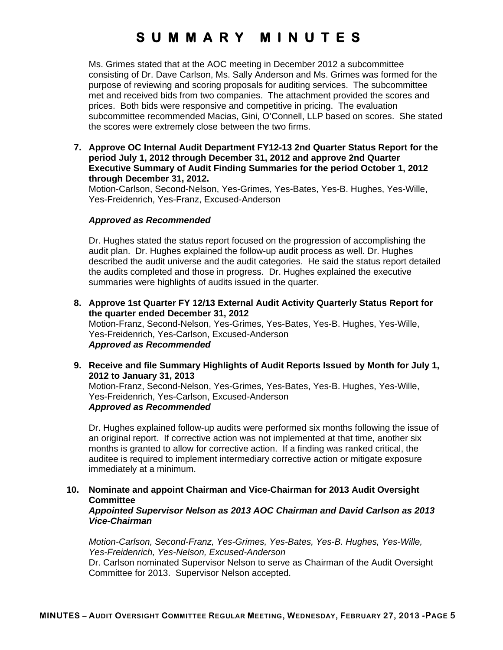Ms. Grimes stated that at the AOC meeting in December 2012 a subcommittee consisting of Dr. Dave Carlson, Ms. Sally Anderson and Ms. Grimes was formed for the purpose of reviewing and scoring proposals for auditing services. The subcommittee met and received bids from two companies. The attachment provided the scores and prices. Both bids were responsive and competitive in pricing. The evaluation subcommittee recommended Macias, Gini, O'Connell, LLP based on scores. She stated the scores were extremely close between the two firms.

### **7. Approve OC Internal Audit Department FY12-13 2nd Quarter Status Report for the period July 1, 2012 through December 31, 2012 and approve 2nd Quarter Executive Summary of Audit Finding Summaries for the period October 1, 2012 through December 31, 2012.**

Motion-Carlson, Second-Nelson, Yes-Grimes, Yes-Bates, Yes-B. Hughes, Yes-Wille, Yes-Freidenrich, Yes-Franz, Excused-Anderson

### *Approved as Recommended*

Dr. Hughes stated the status report focused on the progression of accomplishing the audit plan. Dr. Hughes explained the follow-up audit process as well. Dr. Hughes described the audit universe and the audit categories. He said the status report detailed the audits completed and those in progress. Dr. Hughes explained the executive summaries were highlights of audits issued in the quarter.

- **8. Approve 1st Quarter FY 12/13 External Audit Activity Quarterly Status Report for the quarter ended December 31, 2012**  Motion-Franz, Second-Nelson, Yes-Grimes, Yes-Bates, Yes-B. Hughes, Yes-Wille, Yes-Freidenrich, Yes-Carlson, Excused-Anderson *Approved as Recommended*
- **9. Receive and file Summary Highlights of Audit Reports Issued by Month for July 1, 2012 to January 31, 2013**

Motion-Franz, Second-Nelson, Yes-Grimes, Yes-Bates, Yes-B. Hughes, Yes-Wille, Yes-Freidenrich, Yes-Carlson, Excused-Anderson *Approved as Recommended* 

Dr. Hughes explained follow-up audits were performed six months following the issue of an original report. If corrective action was not implemented at that time, another six months is granted to allow for corrective action. If a finding was ranked critical, the auditee is required to implement intermediary corrective action or mitigate exposure immediately at a minimum.

#### **10. Nominate and appoint Chairman and Vice-Chairman for 2013 Audit Oversight Committee**  *Appointed Supervisor Nelson as 2013 AOC Chairman and David Carlson as 2013*

*Vice-Chairman* 

*Motion-Carlson, Second-Franz, Yes-Grimes, Yes-Bates, Yes-B. Hughes, Yes-Wille, Yes-Freidenrich, Yes-Nelson, Excused-Anderson*  Dr. Carlson nominated Supervisor Nelson to serve as Chairman of the Audit Oversight Committee for 2013. Supervisor Nelson accepted.